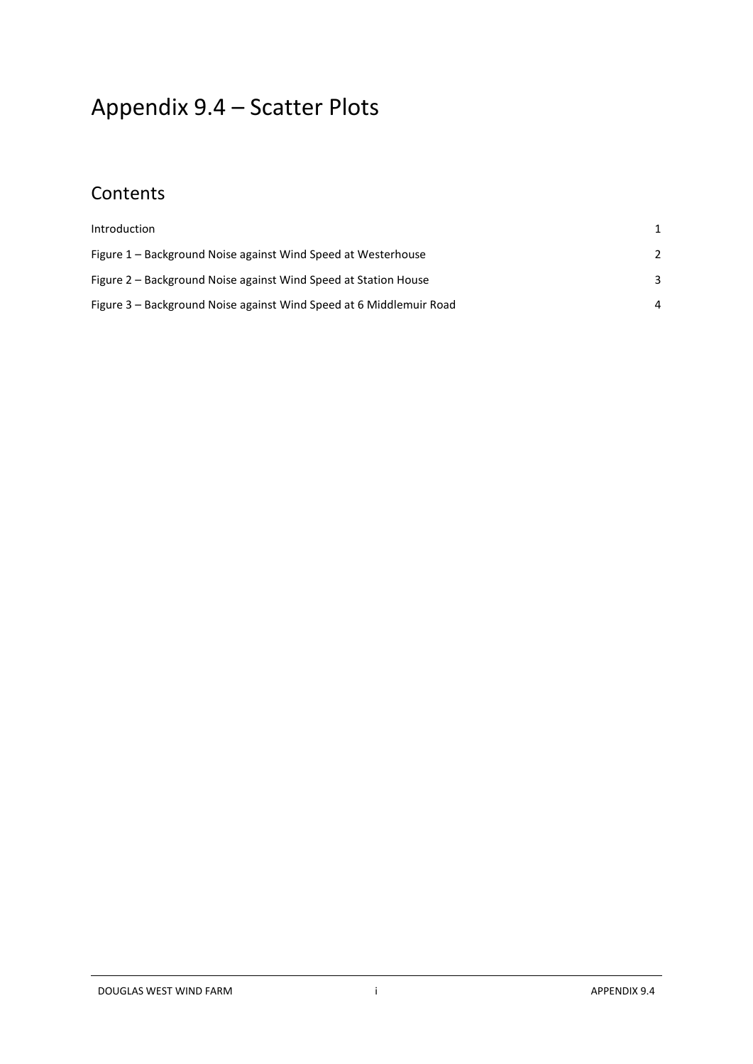# Appendix 9.4 – Scatter Plots

## **Contents**

| Introduction                                                        |               |
|---------------------------------------------------------------------|---------------|
| Figure 1 – Background Noise against Wind Speed at Westerhouse       | $\mathcal{P}$ |
| Figure 2 – Background Noise against Wind Speed at Station House     | з             |
| Figure 3 – Background Noise against Wind Speed at 6 Middlemuir Road | 4             |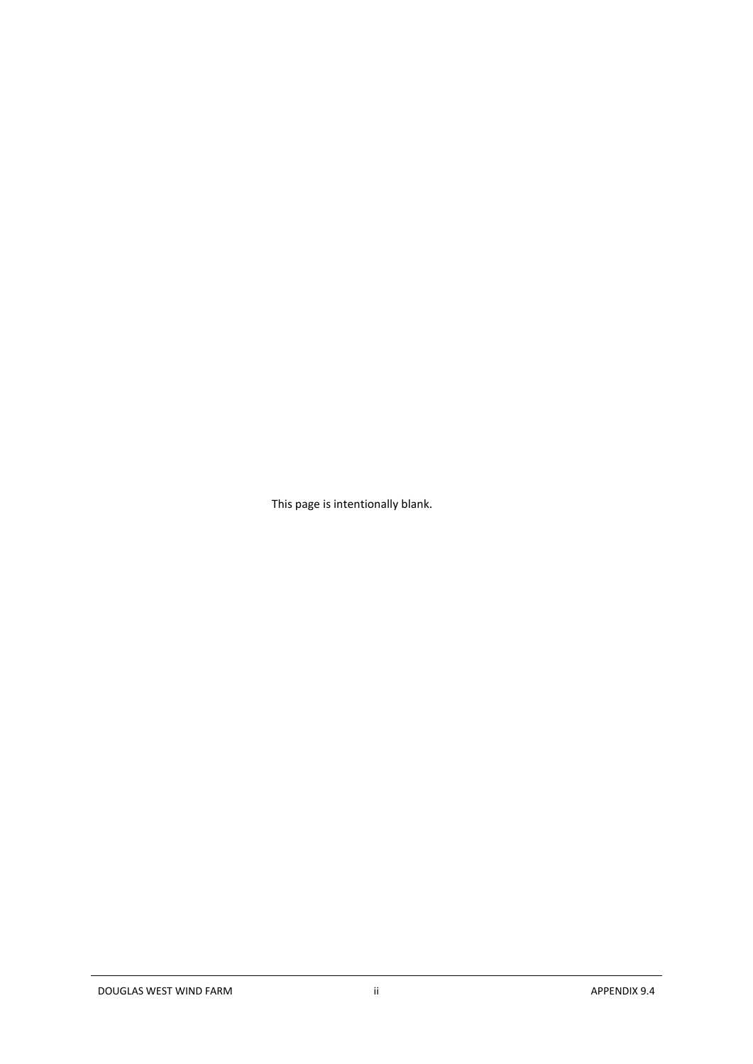This page is intentionally blank.

DOUGLAS WEST WIND FARM **ii APPENDIX 9.4**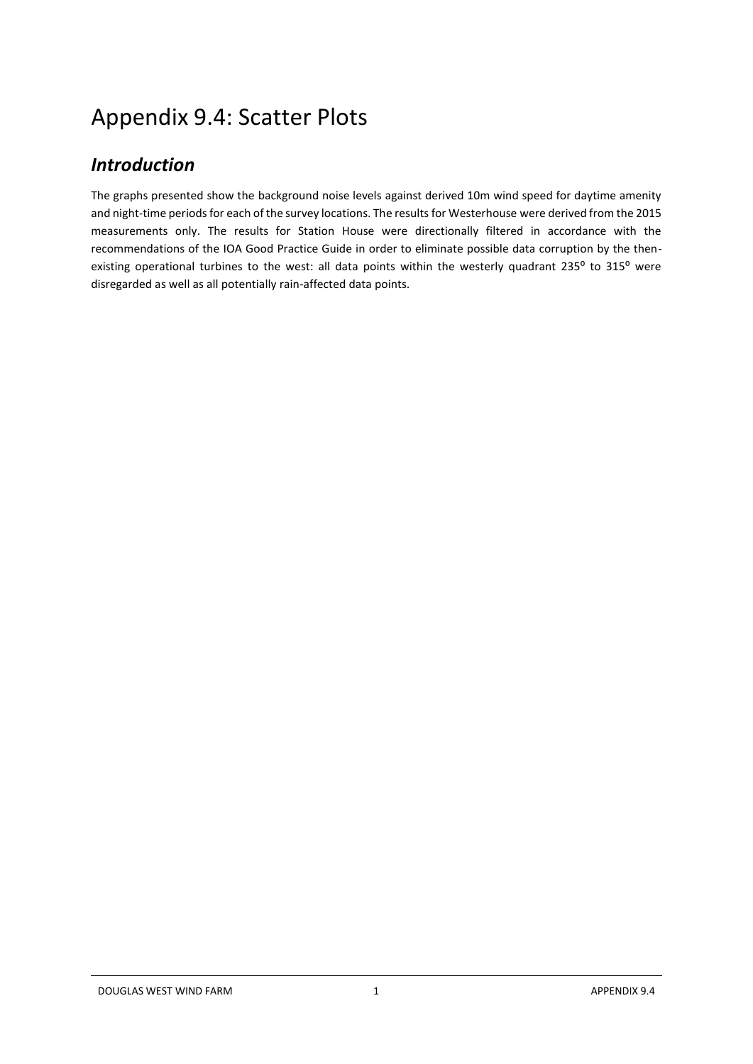# Appendix 9.4: Scatter Plots

### <span id="page-2-0"></span>*Introduction*

The graphs presented show the background noise levels against derived 10m wind speed for daytime amenity and night-time periods for each of the survey locations. The results for Westerhouse were derived from the 2015 measurements only. The results for Station House were directionally filtered in accordance with the recommendations of the IOA Good Practice Guide in order to eliminate possible data corruption by the thenexisting operational turbines to the west: all data points within the westerly quadrant 235<sup>o</sup> to 315<sup>o</sup> were disregarded as well as all potentially rain-affected data points.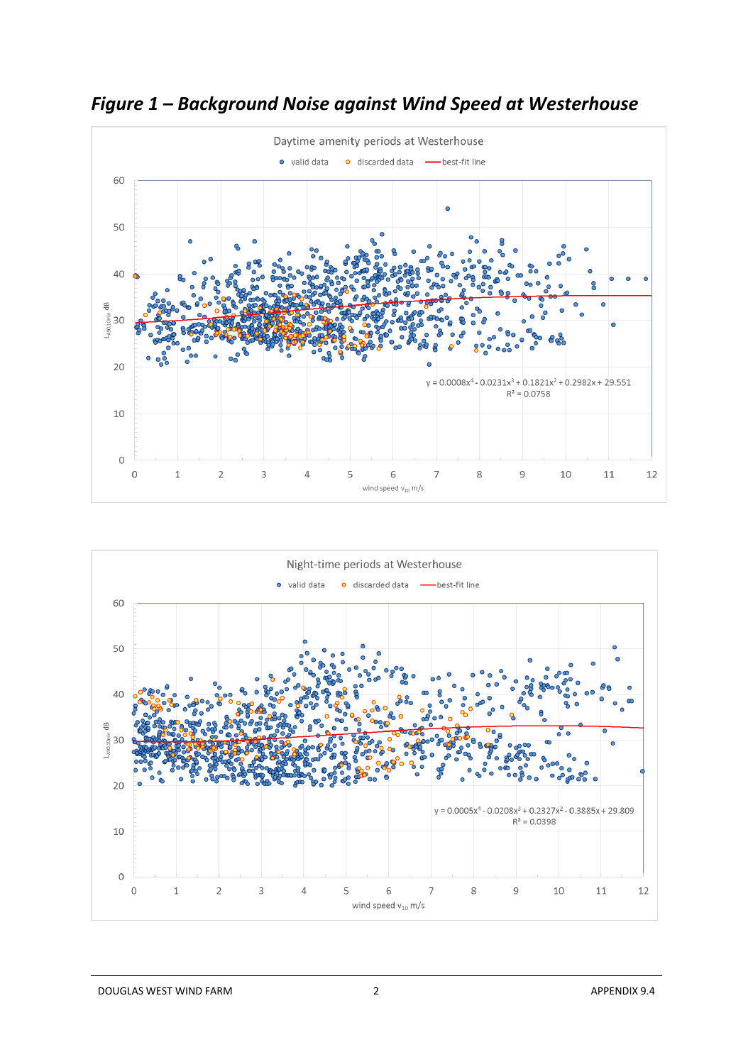

<span id="page-3-0"></span>*Figure 1 – Background Noise against Wind Speed at Westerhouse*

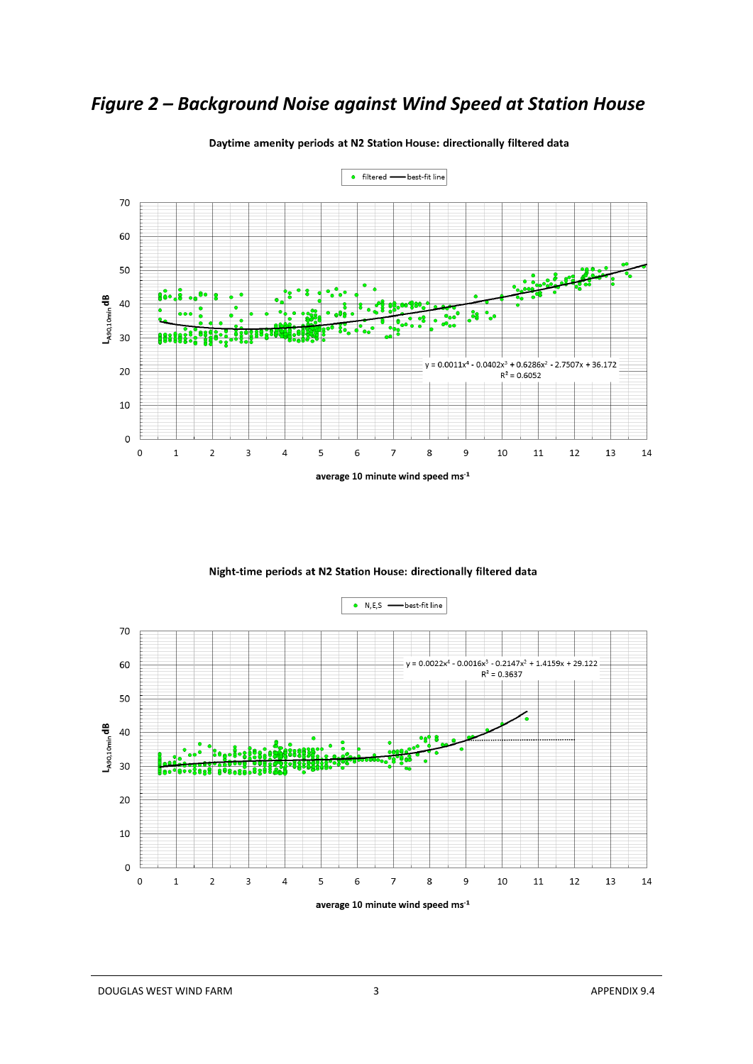### <span id="page-4-0"></span>*Figure 2 – Background Noise against Wind Speed at Station House*



Daytime amenity periods at N2 Station House: directionally filtered data

#### Night-time periods at N2 Station House: directionally filtered data



DOUGLAS WEST WIND FARM 3 APPENDIX 9.4